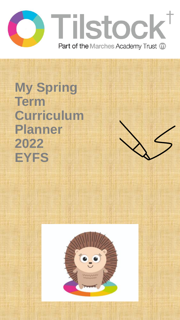

**My Spring Term Curriculum Planner 2022 EYFS**

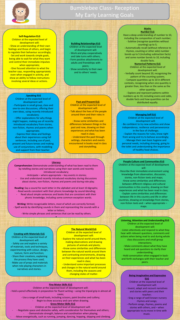

# Bumblebee Class- Reception My Early Learning Goals

### **Self-Regulation ELG** Children at the expected level of

development will: - Show an understanding of their own feelings and those of others, and begin to regulate their behaviour accordingly; - Set and work towards simple goals, being able to wait for what they want and control their immediate impulses when appropriate;

- Give focused attention to what the teacher says, responding appropriately even when engaged in activity, and show an ability to follow instructions involving several ideas or actions.

## . **Speaking ELG**

Children at the expected level of development will: Participate in small group, class and one-to-one discussions, offering their own ideas, using recently introduced vocabulary;

- Offer explanations for why things might happen, making use of recently introduced vocabulary from stories, non-fiction, rhymes and poems when appropriate;

- Express their ideas and feelings about their experiences using full sentences, including use of past, present and future tenses and making use of conjunctions, with modelling and support from their teacher.

### **Building Relationships ELG** Children at the expected level of development will: - Work and play cooperatively and take turns with others; - Form positive attachments to adults and friendships with peers;

- Show sensitivity to their own and to others' needs.

#### **Past and Present ELG**

Children at the expected level of development will: - Talk about the lives of the people around them and their roles in society; - Know some similarities and differences between things in the past and now, drawing on their experiences and what has been

read in class; - Understand the past through settings, characters and events encountered in books read in class and storytelling;

### **Literacy**

**Comprehension:** Demonstrate understanding of what has been read to them by retelling stories and narratives using their own words and recently introduced vocabulary;

- Anticipate – where appropriate – key events in stories; - Use and understand recently introduced vocabulary during discussions about stories, non-fiction, rhymes and poems and during role-play.

**Reading:** Say a sound for each letter in the alphabet and at least 10 digraphs; - Read words consistent with their phonic knowledge by sound-blending; - Read aloud simple sentences and books that are consistent with their phonic knowledge, including some common exception words.

**Writing:** Write recognisable letters, most of which are correctly formed; - Spell words by identifying sounds in them and representing the sounds with a letter or letters;

- Write simple phrases and sentences that can be read by others. •

**Creating with Materials ELG** Children at the expected level of development will: - Safely use and explore a variety of materials, tools and techniques, experimenting with colour, design, texture, form and function; - Share their creations, explaining the process they have used; - Make use of props and materials when role playing characters in narratives and stories.

**The Natural World ELG** Children at the expected level of development will: - Explore the natural world around them. making observations and drawing pictures of animals and plants; - Know some similarities and differences between the natural world around them and contrasting environments, drawing on their experiences and what has been read in class; - Understand some important processes

and changes in the natural world around them, including the seasons and changing states of matter.

## **Fine Motor Skills ELG**

### Children at the expected level of development will:

- Hold a pencil effectively in preparation for fluent writing – using the tripod grip in almost all cases;

> - Use a range of small tools, including scissors, paint brushes and cutlery; Begin to show accuracy and care when drawing. - **Gross Motor Skills ELG**

## - Children at the expected level of development will:

- Negotiate space and obstacles safely, with consideration for themselves and others;

- Demonstrate strength, balance and coordination when playing; - Move energetically, such as running, jumping, dancing, hopping, skipping and climbing.

### **Maths Number ELG**

Have a deep understanding of number to 10, including the composition of each number; - Subitise (recognise quantities without counting) up to 5;

- Automatically recall (without reference to rhymes, counting or other aids) number bonds up to 5 (including subtraction facts) and some number bonds to 10, including double facts.

**Numerical Patterns ELG** Children at the expected level of development will:

- Verbally count beyond 20, recognising the pattern of the counting system; - Compare quantities up to 10 in different contexts, recognising when one quantity is greater than, less than or the same as the other quantity; - Explore and represent patterns within

numbers up to 10, including evens and odds, double facts and how quantities can be distributed equally.

#### **Managing Self ELG** Children at the expected level of

development will: - Be confident to try new activities and show independence, resilience and perseverance in the face of challenge; - Explain the reasons for rules, know right from wrong and try to behave accordingly; - Manage their own basic hygiene and personal needs, including dressing, going to the toilet and understanding the importance of healthy food choices.

#### **People Culture and Communities ELG** Children at the expected level of development will:

- Describe their immediate environment using knowledge from observation, discussion, stories, non-fiction texts and maps; - Know some similarities and differences between different religious and cultural communities in this country, drawing on their experiences and what has been read in class; Explain some similarities and differences between life in this country and life in other countries, drawing on knowledge from stories, non-fiction texts and – when appropriate – maps.

## **Listening, Attention and Understanding ELG** Children at the expected level of

development will: Listen attentively and respond to what they hear with relevant questions, comments and actions when being read to and during whole class discussions and small group interactions;

- Make comments about what they have heard and ask questions to clarify their understanding;

- Hold conversation when engaged in backand-forth exchanges with their teacher and peers.

### . **Being Imaginative and Expressive ELG**

Children at the expected level of development will: - Invent, adapt and recount narratives

and stories with peers and their teacher;

- Sing a range of well-known nursery rhymes and songs;

- Perform songs, rhymes, poems and stories with others, and – when appropriate try to move in time with music.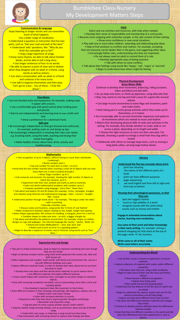

**Communication & Language** Enjoy listening to longer stories and can remember much of what happens. Use a wider range of vocabulary. • Understand a question or instruction that has two parts, such as "Get your coat and wait at the door". • Understand 'why' questions, like: "Why do you think the caterpillar got so fat?" • Sing a large repertoire of songs. • Know many rhymes, be able to talk about familiar books, and be able to tell a long story. • Use longer sentences of four to six words. • Be able to express a point of view and to debate when they disagree with an adult or a friend, using words as well as actions. • Can start a conversation with an adult or a friend and continue it for many turns. • Use talk to organise themselves and their play: "Let's go on a bus... You sit there... I'll be the driver.

# Bumblebee Class-Nursery My Development Matters Steps

### **PSED**

Select and use activities and resources, with help when needed. • Develop their sense of responsibility and membership of a community. • Become more outgoing with unfamiliar people, in the safe context of their setting. • Show more confidence in new social situations.

• Play with one or more other children, extending and elaborating play ideas. • Help to find solutions to conflicts and rivalries. For example, accepting that not everyone can be Spider-Man in the game, and suggesting other ideas. • Increasingly follow rules, understanding why they are important.

- Do not always need an adult to remind them of a rule. • Develop appropriate ways of being assertive.
	- Talk with others to solve conflicts.

• Talk about their feelings using words like 'happy', 'sad', 'angry' or 'worried'. • Begin to understand how others might be feeling.

### **Physical Development Gross Motor Skills**

Continue to develop their movement, balancing, riding (scooters, trikes and bikes) and ball skills.

- Go up steps and stairs, or climb up apparatus, using alternate feet. • Skip, hop, stand on one leg and hold a pose for a game like musical
	- statues.
- Use large-muscle movements to wave flags and streamers, paint and make marks.
- Start taking part in some group activities which they make up for themselves, or in teams.
- Are increasingly able to use and remember sequences and patterns of movements which are related to music and rhythm.
- Match their developing physical skills to tasks and activities in the setting. For example, they decide whether to crawl, walk or run across a plank, depending on its length and width.

• Choose the right resources to carry out their own plan. For example, choosing a spade to enlarge a small hole they dug with a trowel.

• Collaborate with others to manage large items, such as moving a long plank safely, carrying large hollow blocks.

### **Literacy**

### **Understand the five key concepts about print:**

- print has meaning
- 2. the names of the different parts of a book
- 3. print can have different purposes<br>4. page sequencing page sequencing
- 5. we read English text from left to right and from top to bottom

## **Develop their phonological awareness, so that they can:**

- spot and suggest rhymes
- count or clap syllables in a word
- recognise words with the same initial sound, such as money and mother

**Engage in extended conversations about stories, learning new vocabulary.**

**Use some of their print and letter knowledge in their early writing.** For example: writing a pretend shopping list that starts at the top of the page; write 'm' for mummy.

**Write some or all of their name. Write some letters accurately.**

## **Understanding the World**

• Use all their senses in hands-on exploration of natural materials.

- Explore collections of materials with similar and/or different properties.
- Talk about what they see, using a wide vocabulary. • Begin to make sense of their own life-story and family's history.
	- Show interest in different occupations.

• Explore how things work.

• Plant seeds and care for growing plants. • Understand the key features of the life cycle of a plant and

an animal. • Begin to understand the need to respect and care for the

natural environment and all living things.

they notice.

• Sing the melodic shape (moving melody, such as up and down, down and up) of familiar songs.

• Begin to develop complex stories using small world equipment like animal sets, dolls and dolls houses etc. • Make imaginative and complex 'small worlds' with blocks and construction kits, such as a

• Explore different materials freely, in order to develop their ideas about how to use them

- Develop their own ideas and then decide which materials to use to express them.
- Create closed shapes with continuous lines, and begin to use these shapes to represent

• Draw with increasing complexity and detail, such as representing a face with a circle and

• Use drawing to represent ideas like movement or loud noises.

• Show different emotions in their drawings and paintings, like happiness, sadness, fear etc. • Explore colour and colour-mixing.

• Listen with increased attention to sounds. • Respond to what they have heard, expressing their thoughts and feelings.

• Remember and sing entire songs.

• Create their own songs, or improvise a song around one they know.

city with different buildings and a park.

objects.

including details.

• Sing the pitch of a tone sung by another person ('pitch match').

• Play instruments with increasing control to express their feelings and ideas.

about the differences they have experienced or seen in photos.

• Explore and talk about different forces they can feel. • Talk about the differences between materials and changes

• Continue to develop positive attitudes about the differences

etween peop • Know that there are different countries in the world and talk

and what to make. • Join different materials and explore different textures.

• Take part in simple pretend play, using an object to represent something else even though they are not similar.

• Begin to describe a sequence of events, real or fictional, using words such as 'first', 'then...'

**Mathematics** • Fast recognition of up to 3 objects, without having to count them individually ('subitising'). • Recite numbers past 5. • Say one number for each item in order: 1,2,3,4,5. • Know that the last number reached when counting a small set of objects tells you how many there are in total ('cardinal principle'). • Show 'finger numbers' up to 5. • Link numerals and amounts: for example, showing the right number of objects to match the numeral, up to 5. • Experiment with their own symbols and marks as well as numerals. • Solve real world mathematical problems with numbers up to 5. • Compare quantities using language: 'more than', 'fewer than'. • Talk about and explore 2D and 3D shapes (for example, circles, rectangles, triangles and cuboids) using informal and mathematical language: 'sides', 'corners'; 'straight', 'flat', 'round'. • Understand position through words alone – for example, "The bag is under the table," – with no pointing. • Describe a familiar route. • Discuss routes and locations, using words like 'in front of' and 'behind'. • Make comparisons between objects relating to size, length, weight and capacity. • Select shapes appropriately: flat surfaces for building, a triangular prism for a roof etc. • Combine shapes to make new ones – an arch, a bigger triangle etc. • Talk about and identifies the patterns around them. For example: stripes on clothes, designs on rugs and wallpaper. Use informal language like 'pointy', 'spotty', 'blobs' etc. • Extend and create ABAB patterns – stick, leaf, stick, leaf. • Notice and correct an error in a repeating pattern.

### **Expressive Arts and Design**

**Fine Motor** • Use one-handed tools and equipment, for example, making snips in paper with scissors. • Use a comfortable grip with good control when holding pens and pencils. • Start to eat independently and learning how to use a knife and fork. • Show a preference for a dominant hand. **Self-care** • Be increasingly independent as they get dressed and undressed, for example, putting coats on and doing up zips. • Be increasingly independent in meeting their own care needs, e.g. brushing teeth, using the toilet, washing and drying their hands thoroughly. • Make healthy choices about food, drink, activity and toothbrushing.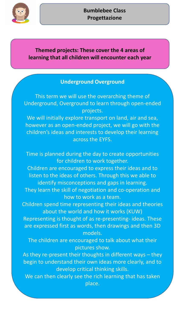

# **Themed projects: These cover the 4 areas of learning that all children will encounter each year**

## **Underground Overground**

This term we will use the overarching theme of Underground, Overground to learn through open-ended projects.

We will initially explore transport on land, air and sea, however as an open-ended project, we will go with the children's ideas and interests to develop their learning across the EYFS.

Time is planned during the day to create opportunities for children to work together. Children are encouraged to express their ideas and to listen to the ideas of others. Through this we able to

identify misconceptions and gaps in learning. They learn the skill of negotiation and co-operation and how to work as a team.

Children spend time representing their ideas and theories about the world and how it works (KUW)

Representing is thought of as re-presenting- ideas. These are expressed first as words, then drawings and then 3D models.

The children are encouraged to talk about what their pictures show.

As they re-present their thoughts in different ways – they begin to understand their own ideas more clearly, and to develop critical thinking skills.

We can then clearly see the rich learning that has taken place.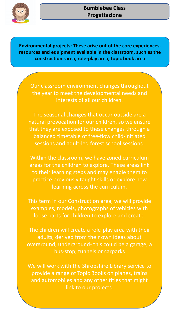

## **Bumblebee Class Progettazione**

**Environmental projects: These arise out of the core experiences, resources and equipment available in the classroom, such as the construction -area, role-play area, topic book area**

Our classroom environment changes throughout the year to meet the developmental needs and interests of all our children.

The seasonal changes that occur outside are a natural provocation for our children, so we ensure that they are exposed to these changes through a balanced timetable of free-flow child-initiated sessions and adult-led forest school sessions.

Within the classroom, we have zoned curriculum areas for the children to explore. These areas link to their learning steps and may enable them to practice previously taught skills or explore new learning across the curriculum.

This term in our Construction area, we will provide examples, models, photographs of vehicles with loose parts for children to explore and create.

The children will create a role-play area with their adults, derived from their own ideas about overground, underground- this could be a garage, a bus-stop, tunnels or carparks

We will work with the Shropshire Library service to provide a range of Topic Books on planes, trains and automobiles and any other titles that might link to our projects.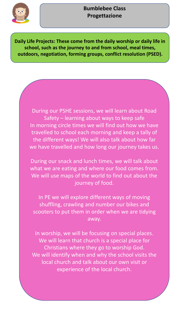

## **Bumblebee Class Progettazione**

**Daily Life Projects: These come from the daily worship or daily life in school, such as the journey to and from school, meal times, outdoors, negotiation, forming groups, conflict resolution (PSED).**

During our PSHE sessions, we will learn about Road Safety – learning about ways to keep safe In morning circle times we will find out how we have travelled to school each morning and keep a tally of the different ways! We will also talk about how far we have travelled and how long our journey takes us.

During our snack and lunch times, we will talk about what we are eating and where our food comes from. We will use maps of the world to find out about the journey of food.

In PE we will explore different ways of moving shuffling, crawling and number our bikes and scooters to put them in order when we are tidying away.

In worship, we will be focusing on special places. We will learn that church is a special place for Christians where they go to worship God. We will identify when and why the school visits the local church and talk about our own visit or experience of the local church.